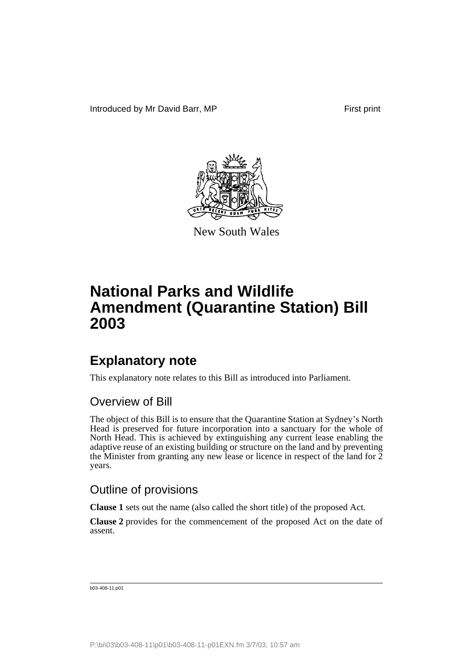Introduced by Mr David Barr, MP First print



New South Wales

# **National Parks and Wildlife Amendment (Quarantine Station) Bill 2003**

## **Explanatory note**

This explanatory note relates to this Bill as introduced into Parliament.

### Overview of Bill

The object of this Bill is to ensure that the Quarantine Station at Sydney's North Head is preserved for future incorporation into a sanctuary for the whole of North Head. This is achieved by extinguishing any current lease enabling the adaptive reuse of an existing building or structure on the land and by preventing the Minister from granting any new lease or licence in respect of the land for 2 years.

### Outline of provisions

**Clause 1** sets out the name (also called the short title) of the proposed Act.

**Clause 2** provides for the commencement of the proposed Act on the date of assent.

b03-408-11.p01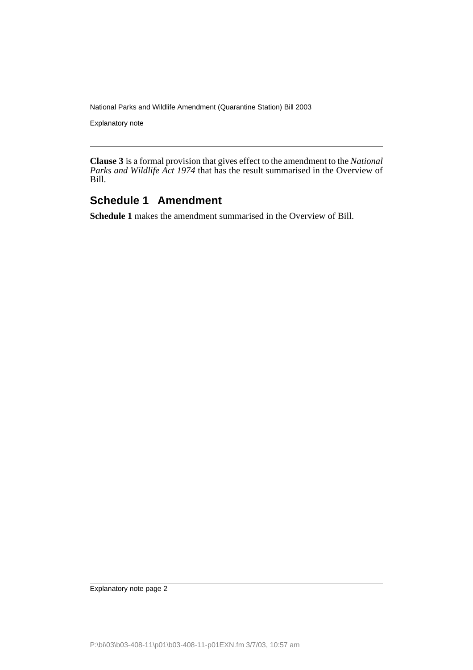National Parks and Wildlife Amendment (Quarantine Station) Bill 2003

Explanatory note

**Clause 3** is a formal provision that gives effect to the amendment to the *National Parks and Wildlife Act 1974* that has the result summarised in the Overview of Bill.

### **Schedule 1 Amendment**

**Schedule 1** makes the amendment summarised in the Overview of Bill.

Explanatory note page 2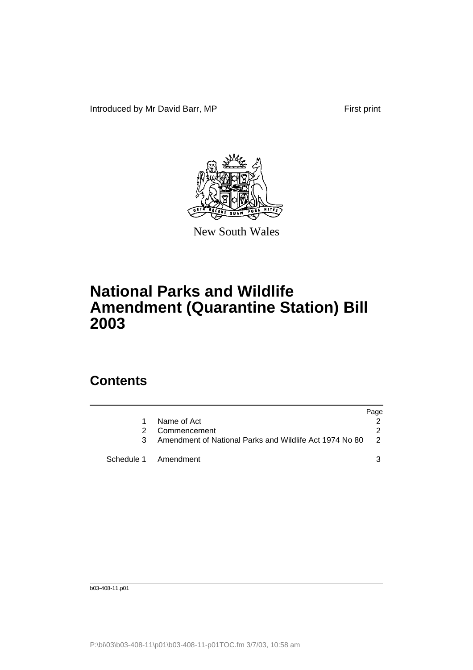Introduced by Mr David Barr, MP First print



New South Wales

# **National Parks and Wildlife Amendment (Quarantine Station) Bill 2003**

## **Contents**

|                                                         | Page                      |
|---------------------------------------------------------|---------------------------|
| Name of Act                                             |                           |
| Commencement                                            | 2                         |
| Amendment of National Parks and Wildlife Act 1974 No 80 | $\mathcal{P}$             |
|                                                         | 3                         |
|                                                         | 2<br>Schedule 1 Amendment |

b03-408-11.p01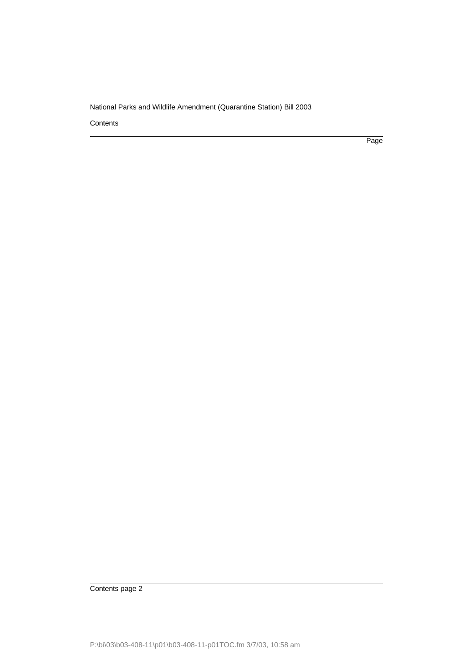#### National Parks and Wildlife Amendment (Quarantine Station) Bill 2003

**Contents** 

Page

Contents page 2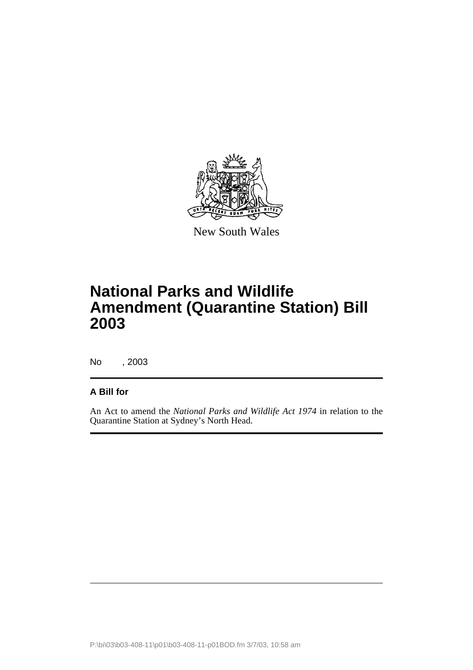

New South Wales

# **National Parks and Wildlife Amendment (Quarantine Station) Bill 2003**

No , 2003

#### **A Bill for**

An Act to amend the *National Parks and Wildlife Act 1974* in relation to the Quarantine Station at Sydney's North Head.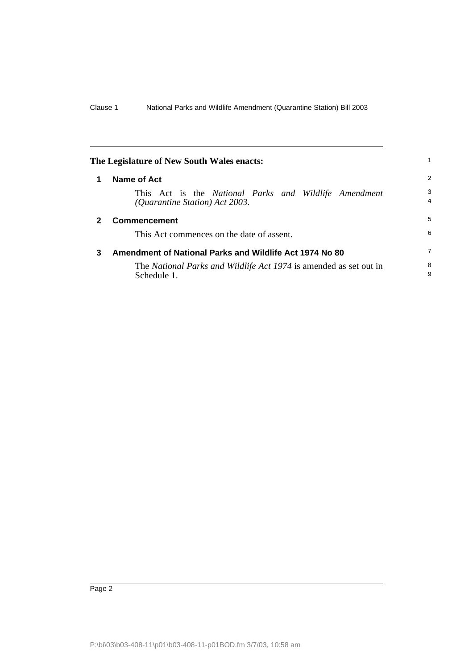<span id="page-5-2"></span><span id="page-5-1"></span><span id="page-5-0"></span>

|   | The Legislature of New South Wales enacts:                                              | 1                   |
|---|-----------------------------------------------------------------------------------------|---------------------|
| 1 | Name of Act                                                                             | 2                   |
|   | This Act is the National Parks and Wildlife Amendment<br>(Quarantine Station) Act 2003. | 3<br>$\overline{a}$ |
|   | <b>Commencement</b>                                                                     | 5                   |
|   | This Act commences on the date of assent.                                               | 6                   |
| 3 | Amendment of National Parks and Wildlife Act 1974 No 80                                 | $\overline{7}$      |
|   | The National Parks and Wildlife Act 1974 is amended as set out in<br>Schedule 1.        | 8<br>9              |